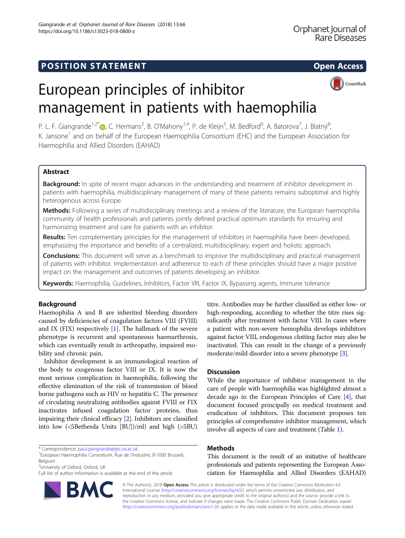

# European principles of inhibitor management in patients with haemophilia

P. L. F. Giangrande<sup>1,2[\\*](http://orcid.org/0000-0001-5408-3719)</sup>®, C. Hermans<sup>3</sup>, B. O'Mahony<sup>1,4</sup>, P. de Kleijn<sup>5</sup>, M. Bedford<sup>6</sup>, A. Batorova<sup>7</sup>, J. Blatný<sup>8</sup> , K. Jansone<sup>1</sup> and on behalf of the European Haemophilia Consortium (EHC) and the European Association for Haemophilia and Allied Disorders (EAHAD)

# Abstract

**Background:** In spite of recent major advances in the understanding and treatment of inhibitor development in patients with haemophilia, multidisciplinary management of many of these patients remains suboptimal and highly heterogenous across Europe.

Methods: Following a series of multidisciplinary meetings and a review of the literature, the European haemophilia community of health professionals and patients jointly defined practical optimum standards for ensuring and harmonizing treatment and care for patients with an inhibitor.

Results: Ten complementary principles for the management of inhibitors in haemophilia have been developed, emphasizing the importance and benefits of a centralized, multidisciplinary, expert and holistic approach.

Conclusions: This document will serve as a benchmark to improve the multidisciplinary and practical management of patients with inhibitor. Implementation and adherence to each of these principles should have a major positive impact on the management and outcomes of patients developing an inhibitor.

Keywords: Haemophilia, Guidelines, Inhibitors, Factor VIII, Factor IX, Bypassing agents, Immune tolerance

# Background

Haemophilia A and B are inherited bleeding disorders caused by deficiencies of coagulation factors VIII (FVIII) and IX (FIX) respectively  $[1]$  $[1]$ . The hallmark of the severe phenotype is recurrent and spontaneous haemarthrosis, which can eventually result in arthropathy, impaired mobility and chronic pain.

Inhibitor development is an immunological reaction of the body to exogenous factor VIII or IX. It is now the most serious complication in haemophilia, following the effective elimination of the risk of transmission of blood borne pathogens such as HIV or hepatitis C. The presence of circulating neutralizing antibodies against FVIII or FIX inactivates infused coagulation factor proteins, thus impairing their clinical efficacy [\[2](#page-5-0)]. Inhibitors are classified into low (<5Bethesda Units [BU])/ml) and high (>5BU)

<sup>2</sup>University of Oxford, Oxford, UK

RA



# **Discussion**

While the importance of inhibitor management in the care of people with haemophilia was highlighted almost a decade ago in the European Principles of Care [\[4](#page-5-0)], that document focused principally on medical treatment and eradication of inhibitors. This document proposes ten principles of comprehensive inhibitor management, which involve all aspects of care and treatment (Table [1](#page-1-0)).

# Methods

This document is the result of an initiative of healthcare professionals and patients representing the European Association for Haemophilia and Allied Disorders (EAHAD)

© The Author(s). 2018 Open Access This article is distributed under the terms of the Creative Commons Attribution 4.0 International License [\(http://creativecommons.org/licenses/by/4.0/](http://creativecommons.org/licenses/by/4.0/)), which permits unrestricted use, distribution, and reproduction in any medium, provided you give appropriate credit to the original author(s) and the source, provide a link to the Creative Commons license, and indicate if changes were made. The Creative Commons Public Domain Dedication waiver [\(http://creativecommons.org/publicdomain/zero/1.0/](http://creativecommons.org/publicdomain/zero/1.0/)) applies to the data made available in this article, unless otherwise stated.

<sup>\*</sup> Correspondence: [paul.giangrande@gtc.ox.ac.uk](mailto:paul.giangrande@gtc.ox.ac.uk) <sup>1</sup>

<sup>&</sup>lt;sup>1</sup> European Haemophilia Consortium, Rue de l'Industrie, B-1000 Brussels, Belgium

Full list of author information is available at the end of the article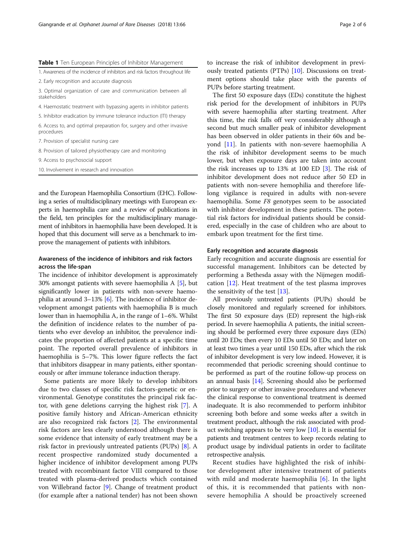<span id="page-1-0"></span>

|  |  |  | Table 1 Ten European Principles of Inhibitor Management |
|--|--|--|---------------------------------------------------------|
|  |  |  |                                                         |

| 1. Awareness of the incidence of inhibitors and risk factors throughout life |  |  |  |  |  |
|------------------------------------------------------------------------------|--|--|--|--|--|
|                                                                              |  |  |  |  |  |

2. Early recognition and accurate diagnosis

3. Optimal organization of care and communication between all stakeholders

4. Haemostatic treatment with bypassing agents in inhibitor patients

5. Inhibitor eradication by immune tolerance induction (ITI) therapy

6. Access to, and optimal preparation for, surgery and other invasive procedures

7. Provision of specialist nursing care

8. Provision of tailored physiotherapy care and monitoring

9. Access to psychosocial support

10. Involvement in research and innovation

and the European Haemophilia Consortium (EHC). Following a series of multidisciplinary meetings with European experts in haemophilia care and a review of publications in the field, ten principles for the multidisciplinary management of inhibitors in haemophilia have been developed. It is hoped that this document will serve as a benchmark to improve the management of patients with inhibitors.

# Awareness of the incidence of inhibitors and risk factors across the life-span

The incidence of inhibitor development is approximately 30% amongst patients with severe haemophilia A [[5\]](#page-5-0), but significantly lower in patients with non-severe haemophilia at around 3–13% [[6](#page-5-0)]. The incidence of inhibitor development amongst patients with haemophilia B is much lower than in haemophilia A, in the range of 1–6%. Whilst the definition of incidence relates to the number of patients who ever develop an inhibitor, the prevalence indicates the proportion of affected patients at a specific time point. The reported overall prevalence of inhibitors in haemophilia is 5–7%. This lower figure reflects the fact that inhibitors disappear in many patients, either spontaneously or after immune tolerance induction therapy.

Some patients are more likely to develop inhibitors due to two classes of specific risk factors-genetic or environmental. Genotype constitutes the principal risk factor, with gene deletions carrying the highest risk [\[7](#page-5-0)]. A positive family history and African-American ethnicity are also recognized risk factors [\[2](#page-5-0)]. The environmental risk factors are less clearly understood although there is some evidence that intensity of early treatment may be a risk factor in previously untreated patients (PUPs) [\[8](#page-5-0)]. A recent prospective randomized study documented a higher incidence of inhibitor development among PUPs treated with recombinant factor VIII compared to those treated with plasma-derived products which contained von Willebrand factor [\[9\]](#page-5-0). Change of treatment product (for example after a national tender) has not been shown

to increase the risk of inhibitor development in previously treated patients (PTPs) [\[10\]](#page-5-0). Discussions on treatment options should take place with the parents of PUPs before starting treatment.

The first 50 exposure days (EDs) constitute the highest risk period for the development of inhibitors in PUPs with severe haemophilia after starting treatment. After this time, the risk falls off very considerably although a second but much smaller peak of inhibitor development has been observed in older patients in their 60s and beyond [\[11\]](#page-5-0). In patients with non-severe haemophilia A the risk of inhibitor development seems to be much lower, but when exposure days are taken into account the risk increases up to  $13\%$  at 100 ED  $[3]$  $[3]$ . The risk of inhibitor development does not reduce after 50 ED in patients with non-severe hemophilia and therefore lifelong vigilance is required in adults with non-severe haemophilia. Some F8 genotypes seem to be associated with inhibitor development in these patients. The potential risk factors for individual patients should be considered, especially in the case of children who are about to embark upon treatment for the first time.

#### Early recognition and accurate diagnosis

Early recognition and accurate diagnosis are essential for successful management. Inhibitors can be detected by performing a Bethesda assay with the Nijmegen modification [[12](#page-5-0)]. Heat treatment of the test plasma improves the sensitivity of the test [\[13\]](#page-5-0).

All previously untreated patients (PUPs) should be closely monitored and regularly screened for inhibitors. The first 50 exposure days (ED) represent the high-risk period. In severe haemophilia A patients, the initial screening should be performed every three exposure days (EDs) until 20 EDs; then every 10 EDs until 50 EDs; and later on at least two times a year until 150 EDs, after which the risk of inhibitor development is very low indeed. However, it is recommended that periodic screening should continue to be performed as part of the routine follow-up process on an annual basis [\[14\]](#page-5-0). Screening should also be performed prior to surgery or other invasive procedures and whenever the clinical response to conventional treatment is deemed inadequate. It is also recommended to perform inhibitor screening both before and some weeks after a switch in treatment product, although the risk associated with product switching appears to be very low  $[10]$  $[10]$  $[10]$ . It is essential for patients and treatment centres to keep records relating to product usage by individual patients in order to facilitate retrospective analysis.

Recent studies have highlighted the risk of inhibitor development after intensive treatment of patients with mild and moderate haemophilia [[6](#page-5-0)]. In the light of this, it is recommended that patients with nonsevere hemophilia A should be proactively screened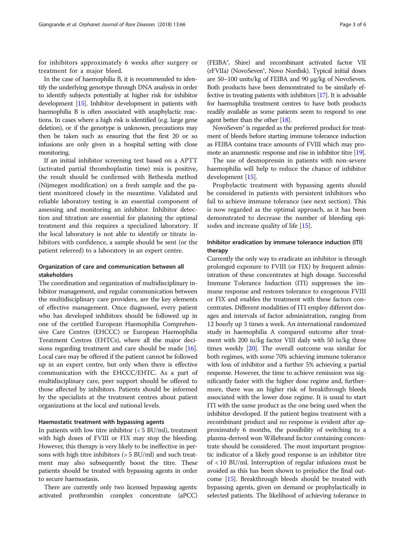for inhibitors approximately 6 weeks after surgery or treatment for a major bleed.

In the case of haemophilia B, it is recommended to identify the underlying genotype through DNA analysis in order to identify subjects potentially at higher risk for inhibitor development [\[15\]](#page-5-0). Inhibitor development in patients with haemophilia B is often associated with anaphylactic reactions. In cases where a high risk is identified (e.g. large gene deletion), or if the genotype is unknown, precautions may then be taken such as ensuring that the first 20 or so infusions are only given in a hospital setting with close monitoring.

If an initial inhibitor screening test based on a APTT (activated partial thromboplastin time) mix is positive, the result should be confirmed with Bethesda method (Nijmegen modification) on a fresh sample and the patient monitored closely in the meantime. Validated and reliable laboratory testing is an essential component of assessing and monitoring an inhibitor. Inhibitor detection and titration are essential for planning the optimal treatment and this requires a specialized laboratory. If the local laboratory is not able to identify or titrate inhibitors with confidence, a sample should be sent (or the patient referred) to a laboratory in an expert centre.

# Organization of care and communication between all stakeholders

The coordination and organization of multidisciplinary inhibitor management, and regular communication between the multidisciplinary care providers, are the key elements of effective management. Once diagnosed, every patient who has developed inhibitors should be followed up in one of the certified European Haemophilia Comprehensive Care Centres (EHCCC) or European Haemophilia Treatment Centres (EHTCs), where all the major decisions regarding treatment and care should be made [[16](#page-5-0)]. Local care may be offered if the patient cannot be followed up in an expert centre, but only when there is effective communication with the EHCCC/EHTC. As a part of multidisciplinary care, peer support should be offered to those affected by inhibitors. Patients should be informed by the specialists at the treatment centres about patient organizations at the local and national levels.

# Haemostatic treatment with bypassing agents

In patients with low titre inhibitor  $\left($  < 5 BU/ml), treatment with high doses of FVIII or FIX may stop the bleeding. However, this therapy is very likely to be ineffective in persons with high titre inhibitors (> 5 BU/ml) and such treatment may also subsequently boost the titre. These patients should be treated with bypassing agents in order to secure haemostasis.

There are currently only two licensed bypassing agents: activated prothrombin complex concentrate (aPCC)

(FEIBA®, Shire) and recombinant activated factor VII (rFVIIa) (NovoSeven®, Novo Nordisk). Typical initial doses are 50–100 units/kg of FEIBA and 90 μg/kg of NovoSeven. Both products have been demonstrated to be similarly effective in treating patients with inhibitors [[17](#page-5-0)]. It is advisable for haemophilia treatment centres to have both products readily available as some patients seem to respond to one agent better than the other [[18](#page-5-0)].

NovoSeven® is regarded as the preferred product for treatment of bleeds before starting immune tolerance induction as FEIBA contains trace amounts of FVIII which may promote an anamnestic response and rise in inhibitor titre [[19](#page-5-0)].

The use of desmopressin in patients with non-severe haemophilia will help to reduce the chance of inhibitor development [[15](#page-5-0)].

Prophylactic treatment with bypassing agents should be considered in patients with persistent inhibitors who fail to achieve immune tolerance (see next section). This is now regarded as the optimal approach, as it has been demonstrated to decrease the number of bleeding episodes and increase quality of life [[15\]](#page-5-0).

# Inhibitor eradication by immune tolerance induction (ITI) therapy

Currently the only way to eradicate an inhibitor is through prolonged exposure to FVIII (or FIX) by frequent administration of these concentrates at high dosage. Successful Immune Tolerance Induction (ITI) suppresses the immune response and restores tolerance to exogenous FVIII or FIX and enables the treatment with these factors concentrates. Different modalities of ITI employ different dosages and intervals of factor administration, ranging from 12 hourly up 3 times a week. An international randomized study in haemophilia A compared outcome after treatment with 200 iu/kg factor VIII daily with 50 iu/kg three times weekly [\[20](#page-5-0)]. The overall outcome was similar for both regimes, with some 70% achieving immune tolerance with loss of inhibitor and a further 5% achieving a partial response. However, the time to achieve remission was significantly faster with the higher dose regime and, furthermore, there was an higher risk of breakthrough bleeds associated with the lower dose regime. It is usual to start ITI with the same product as the one being used when the inhibitor developed. If the patient begins treatment with a recombinant product and no response is evident after approximately 6 months, the possibility of switching to a plasma-derived won Willebrand factor containing concentrate should be considered. The most important prognostic indicator of a likely good response is an inhibitor titre of < 10 BU/ml. Interruption of regular infusions must be avoided as this has been shown to prejudice the final outcome [\[15\]](#page-5-0). Breakthrough bleeds should be treated with bypassing agents, given on demand or prophylactically in selected patients. The likelihood of achieving tolerance in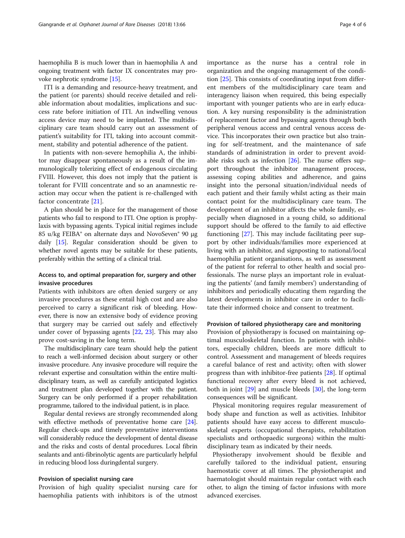haemophilia B is much lower than in haemophilia A and ongoing treatment with factor IX concentrates may provoke nephrotic syndrome [\[15\]](#page-5-0).

ITI is a demanding and resource-heavy treatment, and the patient (or parents) should receive detailed and reliable information about modalities, implications and success rate before initiation of ITI. An indwelling venous access device may need to be implanted. The multidisciplinary care team should carry out an assessment of patient's suitability for ITI, taking into account commitment, stability and potential adherence of the patient.

In patients with non-severe hemophilia A, the inhibitor may disappear spontaneously as a result of the immunologically tolerizing effect of endogenous circulating FVIII. However, this does not imply that the patient is tolerant for FVIII concentrate and so an anamnestic reaction may occur when the patient is re-challenged with factor concentrate [\[21](#page-5-0)].

A plan should be in place for the management of those patients who fail to respond to ITI. One option is prophylaxis with bypassing agents. Typical initial regimes include 85 u/kg FEIBA® on alternate days and NovoSeven® 90 μg daily [\[15\]](#page-5-0). Regular consideration should be given to whether novel agents may be suitable for these patients, preferably within the setting of a clinical trial.

# Access to, and optimal preparation for, surgery and other invasive procedures

Patients with inhibitors are often denied surgery or any invasive procedures as these entail high cost and are also perceived to carry a significant risk of bleeding. However, there is now an extensive body of evidence proving that surgery may be carried out safely and effectively under cover of bypassing agents [[22,](#page-5-0) [23](#page-5-0)]. This may also prove cost-saving in the long term.

The multidisciplinary care team should help the patient to reach a well-informed decision about surgery or other invasive procedure. Any invasive procedure will require the relevant expertise and consultation within the entire multidisciplinary team, as well as carefully anticipated logistics and treatment plan developed together with the patient. Surgery can be only performed if a proper rehabilitation programme, tailored to the individual patient, is in place.

Regular dental reviews are strongly recommended along with effective methods of preventative home care [[24](#page-5-0)]. Regular check-ups and timely preventative interventions will considerably reduce the development of dental disease and the risks and costs of dental procedures. Local fibrin sealants and anti-fibrinolytic agents are particularly helpful in reducing blood loss duringdental surgery.

### Provision of specialist nursing care

Provision of high quality specialist nursing care for haemophilia patients with inhibitors is of the utmost

importance as the nurse has a central role in organization and the ongoing management of the condition [[25\]](#page-5-0). This consists of coordinating input from different members of the multidisciplinary care team and interagency liaison when required, this being especially important with younger patients who are in early education. A key nursing responsibility is the administration of replacement factor and bypassing agents through both peripheral venous access and central venous access device. This incorporates their own practice but also training for self-treatment, and the maintenance of safe standards of administration in order to prevent avoidable risks such as infection  $[26]$  $[26]$ . The nurse offers support throughout the inhibitor management process, assessing coping abilities and adherence, and gains insight into the personal situation/individual needs of each patient and their family whilst acting as their main contact point for the multidisciplinary care team. The development of an inhibitor affects the whole family, especially when diagnosed in a young child, so additional support should be offered to the family to aid effective functioning [\[27](#page-5-0)]. This may include facilitating peer support by other individuals/families more experienced at living with an inhibitor, and signposting to national/local haemophilia patient organisations, as well as assessment of the patient for referral to other health and social professionals. The nurse plays an important role in evaluating the patients' (and family members') understanding of inhibitors and periodically educating them regarding the latest developments in inhibitor care in order to facilitate their informed choice and consent to treatment.

#### Provision of tailored physiotherapy care and monitoring

Provision of physiotherapy is focused on maintaining optimal musculoskeletal function. In patients with inhibitors, especially children, bleeds are more difficult to control. Assessment and management of bleeds requires a careful balance of rest and activity; often with slower progress than with inhibitor-free patients [\[28\]](#page-5-0). If optimal functional recovery after every bleed is not achieved, both in joint [[29](#page-5-0)] and muscle bleeds [[30\]](#page-5-0), the long-term consequences will be significant.

Physical monitoring requires regular measurement of body shape and function as well as activities. Inhibitor patients should have easy access to different musculoskeletal experts (occupational therapists, rehabilitation specialists and orthopaedic surgeons) within the multidisciplinary team as indicated by their needs.

Physiotherapy involvement should be flexible and carefully tailored to the individual patient, ensuring haemostatic cover at all times. The physiotherapist and haematologist should maintain regular contact with each other, to align the timing of factor infusions with more advanced exercises.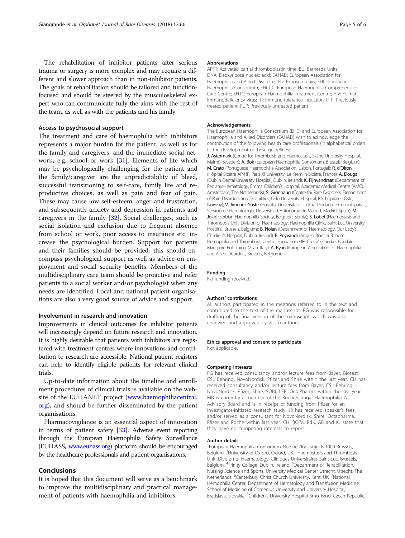The rehabilitation of inhibitor patients after serious trauma or surgery is more complex and may require a different and slower approach than in non-inhibitor patients. The goals of rehabilitation should be tailored and functionfocused and should be steered by the musculoskeletal expert who can communicate fully the aims with the rest of the team, as well as with the patients and his family.

## Access to psychosocial support

The treatment and care of haemophilia with inhibitors represents a major burden for the patient, as well as for the family and caregivers, and the immediate social network, e.g. school or work [[31\]](#page-5-0). Elements of life which may be psychologically challenging for the patient and the family/caregiver are the unpredictability of bleed, successful transitioning to self-care, family life and reproductive choices, as well as pain and fear of pain. These may cause low self-esteem, anger and frustration, and subsequently anxiety and depression in patients and caregivers in the family [\[32\]](#page-5-0). Social challenges, such as social isolation and exclusion due to frequent absence from school or work, poor access to insurance etc. increase the psychological burden. Support for patients and their families should be provided: this should encompass psychological support as well as advice on employment and social security benefits. Members of the multidisciplinary care team should be proactive and refer patients to a social worker and/or psychologist when any needs are identified. Local and national patient organisations are also a very good source of advice and support.

# Involvement in research and innovation

Improvements in clinical outcomes for inhibitor patients will increasingly depend on future research and innovation. It is highly desirable that patients with inhibitors are registered with treatment centres where innovations and contribution to research are accessible. National patient registers can help to identify eligible patients for relevant clinical trials.

Up-to-date information about the timeline and enrollment procedures of clinical trials is available on the website of the EUHANET project ([www.haemophiliacentral.](http://www.haemophiliacentral.org) [org](http://www.haemophiliacentral.org)), and should be further disseminated by the patient organisations.

Pharmacovigilance is an essential aspect of innovation in terms of patient safety  $[33]$  $[33]$  $[33]$ . Adverse event reporting through the European Haemophilia Safety Surveillance (EUHASS, [www.euhass.org](http://www.euhass.org)) platform should be encouraged by the healthcare professionals and patient organisations.

# Conclusions

It is hoped that this document will serve as a benchmark to improve the multidisciplinary and practical management of patients with haemophilia and inhibitors.

#### Abbreviations

APTT: Activated partial thromboplastin time; BU: Bethesda Units; DNA: Deoxyribose nucleic acid; EAHAD: European Association for Haemophilia and Allied Disorders; ED: Exposure days; EHC: European Haemophilia Consortium; EHCCC: European Haemophilia Comprehensive Care Centre; EHTC: European Haemophilia Treatment Centre; HIV: Human Immunodeficiency virus; ITI: Immune tolerance induction; PTP: Previously treated patient; PUP: Previously untreated patient

#### Acknowledgements

The European Haemophilia Consortium (EHC) and European Association for Haemophilia and Allied Disorders (EAHAD) wish to acknowledge the contribution of the following health care professionals (in alphabetical order) to the development of these guidelines:

J. Astermark (Centre for Thrombosis and Haemostasis, Skåne University Hospital, Malmö, Sweden); A. Bok (European Haemophilia Consortium, Brussels, Belgium); M. Crato (Portuguese Haemophilia Association, Lisbon, Portugal); R. d'Oiron (Hôpital Bicêtre AP-HP, Paris XI University, Le Kremlin-Bicêtre, France); A. Dougall (Dublin Dental University Hospital, Dublin, Ireland); K. Fijnvandraat (Department of Pediatric-Hematology, Emma Children's Hospital, Academic Medical Centre (AMC), Amsterdam, The Netherlands); S. Grønhaug (Centre for Rare Disorders, Department of Rare Disorders and Disabilities, Oslo University Hospital, Rikshopitalet, Oslo, Norway); V. Jiménez-Yuste (Hospital Universitario La Paz, Unidad de Coagulopatías, Servicio de Hematología, Universidad Autonoma de Madrid, Madrid, Spain); M. Jokić (Serbian Haemophilia Society, Belgrade, Serbia); S. Lobet (Haemostasis and Thrombosis Unit, Division of Haematology, Haemophilia Clinic, Saint-Luc University Hospital, Brussels, Belgium); **B. Nolan** (Department of Haematology, Our Lady's Children's Hospital, Dublin, Ireland); F. Peyvandi (Angelo Bianchi Bonomi Hemophilia and Thrombosis Centre, Fondazione IRCCS Ca′ Granda Ospedale Maggiore Policlinico, Milan, Italy); A. Ryan (European Association for Haemophilia and Allied Disorders, Brussels, Belgium).

#### Funding

No funding received.

#### Authors' contributions

All authors participated in the meetings referred to in the text and contributed to the text of the manuscript. PG was responsible for drafting of the final version of the manuscript, which was also reviewed and approved by all co-authors.

#### Ethics approval and consent to participate

Not applicable.

#### Competing interests

PG has received consultancy and/or lecture fees from Bayer, Biotest, CSL Behring, NovoNordisk, Pfizer and Shire within the last year. CH has received consultancy and/or lecture fees from Bayer, CSL Behring, NovoNordisk, Pfizer, Shire, SOBI, LFB, OctaPharma within the last year. MB is currently a member of the Roche/Chugai Haemophilia A Advisory Board and is in receipt of funding from Pfizer for an investigator-initiated research study. JB has received speaker's fees and/or served as a consultant for NovoNordisk, Shire, Octapharma, Pfizer and Roche within last year. CH, BO'M, PdK, AB and KJ state that they have no competing interests to report.

#### Author details

<sup>1</sup> European Haemophilia Consortium, Rue de l'Industrie, B-1000 Brussels, Belgium. <sup>2</sup>University of Oxford, Oxford, UK. <sup>3</sup>Haemostasis and Thrombosis Unit, Division of Haematology, Cliniques Universitaires Saint-Luc, Brussels, Belgium. <sup>4</sup>Trinity College, Dublin, Ireland. <sup>5</sup>Department of Rehabilitation Nursing Science and Sports, University Medical Center Utrecht, Utrecht, The Netherlands. <sup>6</sup>Canterbury Christ Church University, Kent, UK. <sup>7</sup>National Hemophilia Center, Department of Hematology and Transfusion Medicine, School of Medicine of Comenius University and University Hospital, Bratislava, Slovakia. <sup>8</sup>Children's University Hospital Brno, Brno, Czech Republic